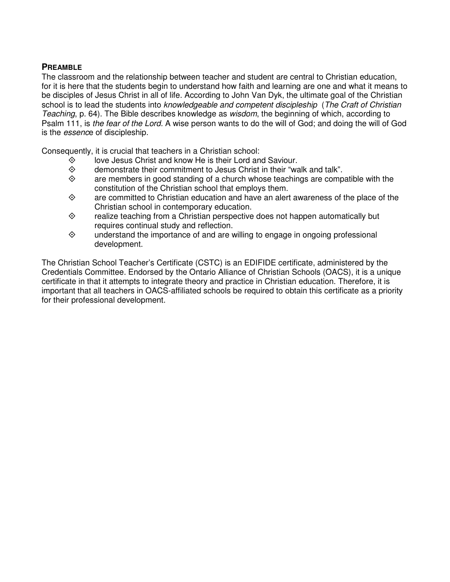### **PREAMBLE**

The classroom and the relationship between teacher and student are central to Christian education, for it is here that the students begin to understand how faith and learning are one and what it means to be disciples of Jesus Christ in all of life. According to John Van Dyk, the ultimate goal of the Christian school is to lead the students into knowledgeable and competent discipleship (The Craft of Christian Teaching, p. 64). The Bible describes knowledge as *wisdom*, the beginning of which, according to Psalm 111, is the fear of the Lord. A wise person wants to do the will of God; and doing the will of God is the *essence* of discipleship.

Consequently, it is crucial that teachers in a Christian school:

- $\diamond$  love Jesus Christ and know He is their Lord and Saviour.<br>  $\diamond$  demonstrate their commitment to Jesus Christ in their "wa
- $\diamond$  demonstrate their commitment to Jesus Christ in their "walk and talk".<br>  $\diamond$  are members in good standing of a church whose teachings are comp
- are members in good standing of a church whose teachings are compatible with the constitution of the Christian school that employs them.
- $\diamond$  are committed to Christian education and have an alert awareness of the place of the Christian school in contemporary education.
- $\diamond$  realize teaching from a Christian perspective does not happen automatically but requires continual study and reflection.
- $\diamond$  understand the importance of and are willing to engage in ongoing professional development.

The Christian School Teacher's Certificate (CSTC) is an EDIFIDE certificate, administered by the Credentials Committee. Endorsed by the Ontario Alliance of Christian Schools (OACS), it is a unique certificate in that it attempts to integrate theory and practice in Christian education. Therefore, it is important that all teachers in OACS-affiliated schools be required to obtain this certificate as a priority for their professional development.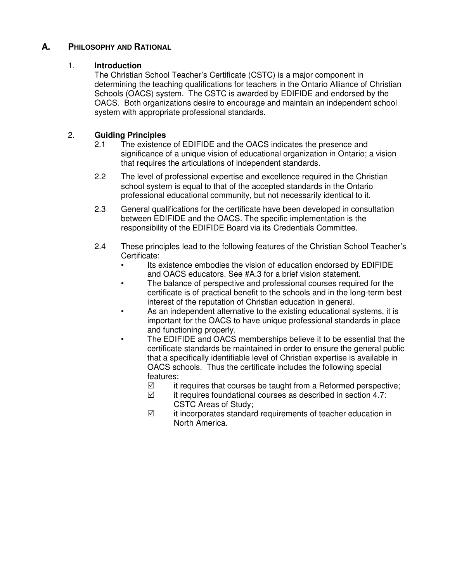## **A. PHILOSOPHY AND RATIONAL**

#### 1. **Introduction**

The Christian School Teacher's Certificate (CSTC) is a major component in determining the teaching qualifications for teachers in the Ontario Alliance of Christian Schools (OACS) system. The CSTC is awarded by EDIFIDE and endorsed by the OACS. Both organizations desire to encourage and maintain an independent school system with appropriate professional standards.

### 2. **Guiding Principles**

- 2.1 The existence of EDIFIDE and the OACS indicates the presence and significance of a unique vision of educational organization in Ontario; a vision that requires the articulations of independent standards.
- 2.2 The level of professional expertise and excellence required in the Christian school system is equal to that of the accepted standards in the Ontario professional educational community, but not necessarily identical to it.
- 2.3 General qualifications for the certificate have been developed in consultation between EDIFIDE and the OACS. The specific implementation is the responsibility of the EDIFIDE Board via its Credentials Committee.
- 2.4 These principles lead to the following features of the Christian School Teacher's Certificate:
	- Its existence embodies the vision of education endorsed by EDIFIDE and OACS educators. See #A.3 for a brief vision statement.
	- The balance of perspective and professional courses required for the certificate is of practical benefit to the schools and in the long-term best interest of the reputation of Christian education in general.
	- As an independent alternative to the existing educational systems, it is important for the OACS to have unique professional standards in place and functioning properly.
	- The EDIFIDE and OACS memberships believe it to be essential that the certificate standards be maintained in order to ensure the general public that a specifically identifiable level of Christian expertise is available in OACS schools. Thus the certificate includes the following special features:
		- $\triangledown$ it requires that courses be taught from a Reformed perspective;
		- $\Delta$  it requires foundational courses as described in section 4.7: CSTC Areas of Study;
		- $\triangledown$  it incorporates standard requirements of teacher education in North America.